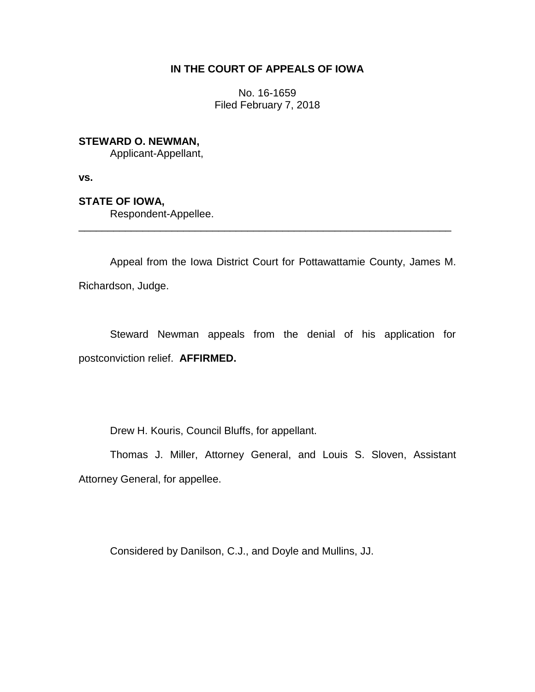## **IN THE COURT OF APPEALS OF IOWA**

No. 16-1659 Filed February 7, 2018

**STEWARD O. NEWMAN,**

Applicant-Appellant,

**vs.**

**STATE OF IOWA,**

Respondent-Appellee.

Appeal from the Iowa District Court for Pottawattamie County, James M. Richardson, Judge.

\_\_\_\_\_\_\_\_\_\_\_\_\_\_\_\_\_\_\_\_\_\_\_\_\_\_\_\_\_\_\_\_\_\_\_\_\_\_\_\_\_\_\_\_\_\_\_\_\_\_\_\_\_\_\_\_\_\_\_\_\_\_\_\_

Steward Newman appeals from the denial of his application for postconviction relief. **AFFIRMED.**

Drew H. Kouris, Council Bluffs, for appellant.

Thomas J. Miller, Attorney General, and Louis S. Sloven, Assistant Attorney General, for appellee.

Considered by Danilson, C.J., and Doyle and Mullins, JJ.